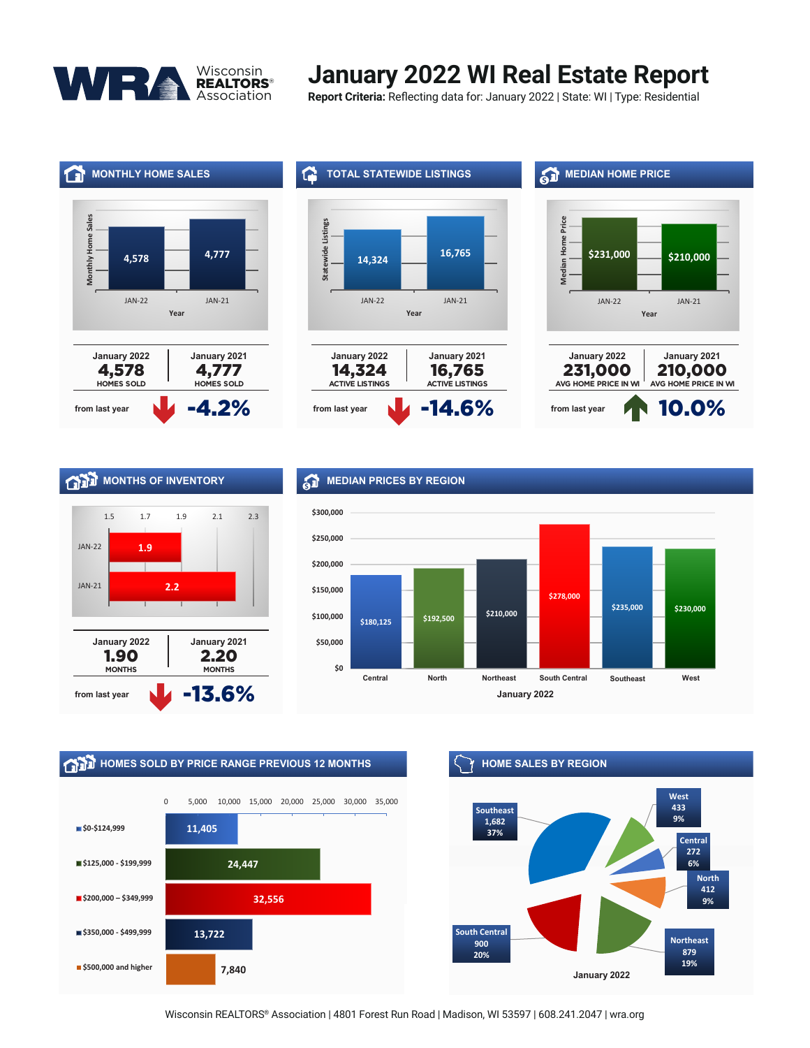

#### Summary and Community of The Community State: Mill Tune: Begic **January 2022 WI Real Estate Report**

**Report Criteria:** Reflecting data for: January 2022 | State: WI | Type: Residential







### **MONTHS OF INVENTORY**



#### *<b>ST* MEDIAN PRICES BY REGION



## **HOMES SOLD BY PRICE RANGE PREVIOUS 12 MONTHS HOME SALES BY REGION**





Wisconsin REALTORS® Association | 4801 Forest Run Road | Madison, WI 53597 | 608.241.2047 | wra.org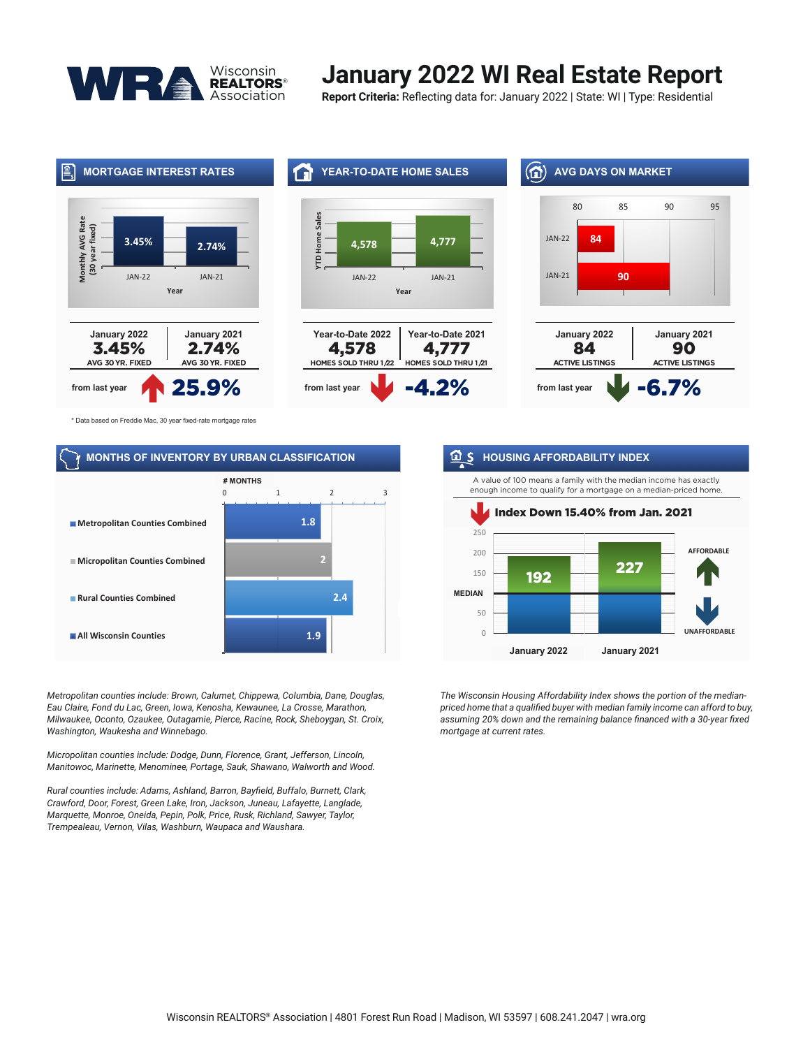

## **January 2022 WI Real Estate Report**

**Report Criteria:** Reflecting data for: January 2022 | State: WI | Type: Residential



\* Data based on Freddie Mac, 30 year fixed-rate mortgage rates

#### **MONTHS OF INVENTORY BY URBAN CLASSIFICATION**



*Metropolitan counties include: Brown, Calumet, Chippewa, Columbia, Dane, Douglas, Eau Claire, Fond du Lac, Green, Iowa, Kenosha, Kewaunee, La Crosse, Marathon, Milwaukee, Oconto, Ozaukee, Outagamie, Pierce, Racine, Rock, Sheboygan, St. Croix, Washington, Waukesha and Winnebago.* 

*Micropolitan counties include: Dodge, Dunn, Florence, Grant, Jefferson, Lincoln, Manitowoc, Marinette, Menominee, Portage, Sauk, Shawano, Walworth and Wood.*

*Rural counties include: Adams, Ashland, Barron, Bayfield, Buffalo, Burnett, Clark, Crawford, Door, Forest, Green Lake, Iron, Jackson, Juneau, Lafayette, Langlade, Marquette, Monroe, Oneida, Pepin, Polk, Price, Rusk, Richland, Sawyer, Taylor, Trempealeau, Vernon, Vilas, Washburn, Waupaca and Waushara.*

#### **n** S HOUSING AFFORDABILITY INDEX

A value of 100 means a family with the median income has exactly enough income to qualify for a mortgage on a median-priced home.



*The Wisconsin Housing Affordability Index shows the portion of the medianpriced home that a qualified buyer with median family income can afford to buy, assuming 20% down and the remaining balance financed with a 30-year fixed mortgage at current rates.*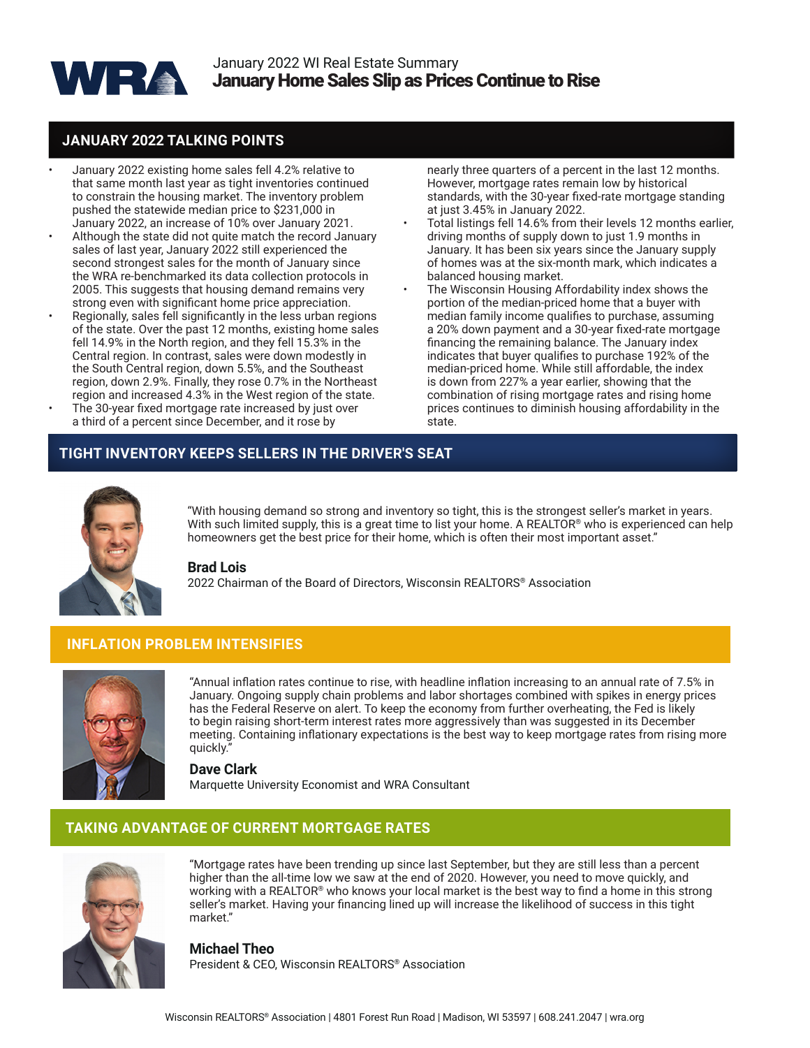

#### **JANUARY 2022 TALKING POINTS**

- January 2022 existing home sales fell 4.2% relative to that same month last year as tight inventories continued to constrain the housing market. The inventory problem pushed the statewide median price to \$231,000 in January 2022, an increase of 10% over January 2021.
- Although the state did not quite match the record January sales of last year, January 2022 still experienced the second strongest sales for the month of January since the WRA re-benchmarked its data collection protocols in 2005. This suggests that housing demand remains very strong even with significant home price appreciation.
- Regionally, sales fell significantly in the less urban regions of the state. Over the past 12 months, existing home sales fell 14.9% in the North region, and they fell 15.3% in the Central region. In contrast, sales were down modestly in the South Central region, down 5.5%, and the Southeast region, down 2.9%. Finally, they rose 0.7% in the Northeast region and increased 4.3% in the West region of the state.
- The 30-year fixed mortgage rate increased by just over a third of a percent since December, and it rose by

nearly three quarters of a percent in the last 12 months. However, mortgage rates remain low by historical standards, with the 30-year fixed-rate mortgage standing at just 3.45% in January 2022.

- Total listings fell 14.6% from their levels 12 months earlier, driving months of supply down to just 1.9 months in January. It has been six years since the January supply of homes was at the six-month mark, which indicates a balanced housing market.
- The Wisconsin Housing Affordability index shows the portion of the median-priced home that a buyer with median family income qualifies to purchase, assuming a 20% down payment and a 30-year fixed-rate mortgage financing the remaining balance. The January index indicates that buyer qualifies to purchase 192% of the median-priced home. While still affordable, the index is down from 227% a year earlier, showing that the combination of rising mortgage rates and rising home prices continues to diminish housing affordability in the state.

#### **TIGHT INVENTORY KEEPS SELLERS IN THE DRIVER'S SEAT**



"With housing demand so strong and inventory so tight, this is the strongest seller's market in years. With such limited supply, this is a great time to list your home. A REALTOR® who is experienced can help homeowners get the best price for their home, which is often their most important asset."

#### **Brad Lois**

2022 Chairman of the Board of Directors, Wisconsin REALTORS® Association

#### **INFLATION PROBLEM INTENSIFIES**



"Annual inflation rates continue to rise, with headline inflation increasing to an annual rate of 7.5% in January. Ongoing supply chain problems and labor shortages combined with spikes in energy prices has the Federal Reserve on alert. To keep the economy from further overheating, the Fed is likely to begin raising short-term interest rates more aggressively than was suggested in its December meeting. Containing inflationary expectations is the best way to keep mortgage rates from rising more quickly.

**Dave Clark** Marquette University Economist and WRA Consultant

#### **TAKING ADVANTAGE OF CURRENT MORTGAGE RATES**



"Mortgage rates have been trending up since last September, but they are still less than a percent higher than the all-time low we saw at the end of 2020. However, you need to move quickly, and working with a REALTOR® who knows your local market is the best way to find a home in this strong seller's market. Having your financing lined up will increase the likelihood of success in this tight market."

**Michael Theo** President & CEO, Wisconsin REALTORS® Association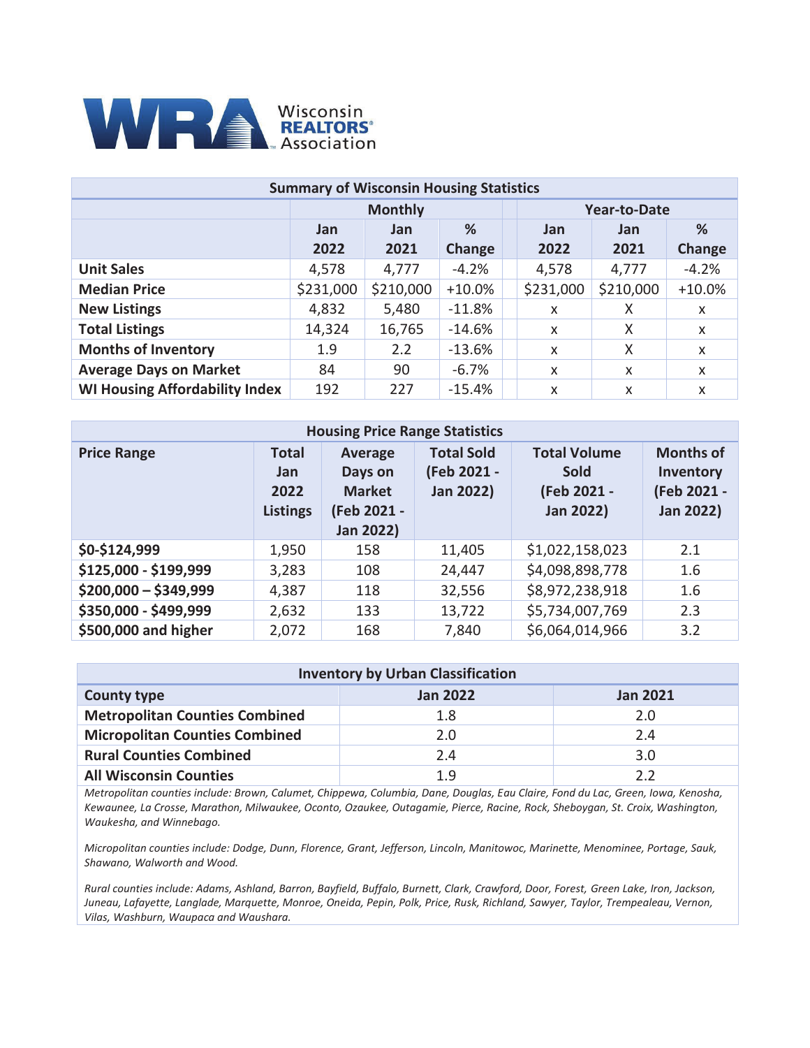

| <b>Summary of Wisconsin Housing Statistics</b> |                                        |                |           |                     |            |          |  |  |  |  |  |
|------------------------------------------------|----------------------------------------|----------------|-----------|---------------------|------------|----------|--|--|--|--|--|
|                                                |                                        | <b>Monthly</b> |           | <b>Year-to-Date</b> |            |          |  |  |  |  |  |
|                                                | <b>Jan</b>                             | <b>Jan</b>     | %         | <b>Jan</b>          | <b>Jan</b> | %        |  |  |  |  |  |
|                                                | 2022<br>2021<br>Change<br>2022<br>2021 |                |           |                     |            |          |  |  |  |  |  |
| <b>Unit Sales</b>                              | 4,578                                  | 4,777          | $-4.2%$   | 4,578               | 4,777      | $-4.2%$  |  |  |  |  |  |
| <b>Median Price</b>                            | \$231,000                              | \$210,000      | $+10.0\%$ | \$231,000           | \$210,000  | $+10.0%$ |  |  |  |  |  |
| <b>New Listings</b>                            | 4,832                                  | 5,480          | $-11.8\%$ | X                   | X          | X        |  |  |  |  |  |
| <b>Total Listings</b>                          | 14,324                                 | 16,765         | $-14.6\%$ | X                   | X          | X        |  |  |  |  |  |
| <b>Months of Inventory</b>                     | 1.9                                    | 2.2            | $-13.6%$  | X                   | X          | X        |  |  |  |  |  |
| <b>Average Days on Market</b>                  | 84                                     | 90             | $-6.7\%$  | X                   | X          | X        |  |  |  |  |  |
| <b>WI Housing Affordability Index</b>          | 192                                    | 227            | $-15.4\%$ | X                   | X          | X        |  |  |  |  |  |

| <b>Housing Price Range Statistics</b> |                                                       |                                                                               |                                                      |                                                                |                                                                  |  |  |  |  |  |  |  |
|---------------------------------------|-------------------------------------------------------|-------------------------------------------------------------------------------|------------------------------------------------------|----------------------------------------------------------------|------------------------------------------------------------------|--|--|--|--|--|--|--|
| <b>Price Range</b>                    | <b>Total</b><br><b>Jan</b><br>2022<br><b>Listings</b> | <b>Average</b><br>Days on<br><b>Market</b><br>(Feb 2021 -<br><b>Jan 2022)</b> | <b>Total Sold</b><br>(Feb 2021 -<br><b>Jan 2022)</b> | <b>Total Volume</b><br>Sold<br>(Feb 2021 -<br><b>Jan 2022)</b> | <b>Months of</b><br>Inventory<br>(Feb 2021 -<br><b>Jan 2022)</b> |  |  |  |  |  |  |  |
| \$0-\$124,999                         | 1,950                                                 | 158                                                                           | 11,405                                               | \$1,022,158,023                                                | 2.1                                                              |  |  |  |  |  |  |  |
| \$125,000 - \$199,999                 | 3,283                                                 | 108                                                                           | 24,447                                               | \$4,098,898,778                                                | 1.6                                                              |  |  |  |  |  |  |  |
| $$200,000 - $349,999$                 | 4,387                                                 | 118                                                                           | 32,556                                               | \$8,972,238,918                                                | 1.6                                                              |  |  |  |  |  |  |  |
| \$350,000 - \$499,999                 | 2,632                                                 | 133                                                                           | 13,722                                               | \$5,734,007,769                                                | 2.3                                                              |  |  |  |  |  |  |  |
| \$500,000 and higher                  | 2,072                                                 | 168                                                                           | 7,840                                                | \$6,064,014,966                                                | 3.2                                                              |  |  |  |  |  |  |  |

| <b>Inventory by Urban Classification</b> |                 |                 |  |  |  |  |  |  |  |  |
|------------------------------------------|-----------------|-----------------|--|--|--|--|--|--|--|--|
| <b>County type</b>                       | <b>Jan 2022</b> | <b>Jan 2021</b> |  |  |  |  |  |  |  |  |
| <b>Metropolitan Counties Combined</b>    | 1.8             | 2.0             |  |  |  |  |  |  |  |  |
| <b>Micropolitan Counties Combined</b>    | 2.0             | 2.4             |  |  |  |  |  |  |  |  |
| <b>Rural Counties Combined</b>           | 2.4             | 3.0             |  |  |  |  |  |  |  |  |
| <b>All Wisconsin Counties</b>            | 1 Q             | つつ              |  |  |  |  |  |  |  |  |

*Metropolitan counties include: Brown, Calumet, Chippewa, Columbia, Dane, Douglas, Eau Claire, Fond du Lac, Green, Iowa, Kenosha, Kewaunee, La Crosse, Marathon, Milwaukee, Oconto, Ozaukee, Outagamie, Pierce, Racine, Rock, Sheboygan, St. Croix, Washington, Waukesha, and Winnebago.* 

*Micropolitan counties include: Dodge, Dunn, Florence, Grant, Jefferson, Lincoln, Manitowoc, Marinette, Menominee, Portage, Sauk, Shawano, Walworth and Wood.*

*Rural counties include: Adams, Ashland, Barron, Bayfield, Buffalo, Burnett, Clark, Crawford, Door, Forest, Green Lake, Iron, Jackson, Juneau, Lafayette, Langlade, Marquette, Monroe, Oneida, Pepin, Polk, Price, Rusk, Richland, Sawyer, Taylor, Trempealeau, Vernon, Vilas, Washburn, Waupaca and Waushara.*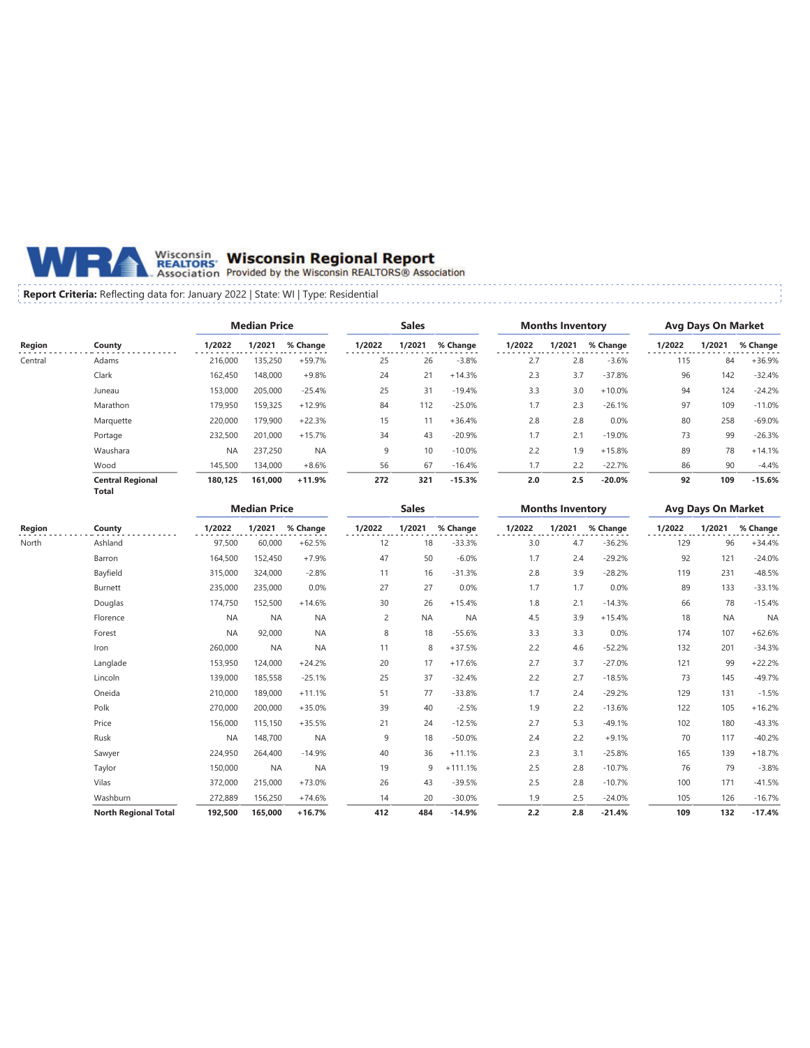

## Wisconsin Wisconsin Regional Report<br>REALTORS Provided by the Wisconsin REALTORS® Association

#### **Report Criteria:** Reflecting data for: January 2022 | State: WI | Type: Residential

|         |                                  | <b>Median Price</b> |         | <b>Sales</b> |        |        | <b>Months Inventory</b> |        |        | <b>Avg Days On Market</b> |        |        |          |
|---------|----------------------------------|---------------------|---------|--------------|--------|--------|-------------------------|--------|--------|---------------------------|--------|--------|----------|
| Region  | County                           | 1/2022              | 1/2021  | % Change     | 1/2022 | 1/2021 | % Change                | 1/2022 | 1/2021 | % Change                  | 1/2022 | 1/2021 | % Change |
| Central | Adams                            | 216,000             | 135,250 | $+59.7%$     | 25     | 26     | $-3.8%$                 | 2.7    | 2.8    | $-3.6%$                   | 115    | 84     | $+36.9%$ |
|         | Clark                            | 162,450             | 148,000 | $+9.8%$      | 24     | 21     | $+14.3%$                | 2.3    | 3.7    | $-37.8%$                  | 96     | 142    | $-32.4%$ |
|         | Juneau                           | 153,000             | 205,000 | $-25.4%$     | 25     | 31     | $-19.4%$                | 3.3    | 3.0    | $+10.0%$                  | 94     | 124    | $-24.2%$ |
|         | Marathon                         | 179,950             | 159,325 | $+12.9%$     | 84     | 112    | $-25.0%$                | 1.7    | 2.3    | $-26.1%$                  | 97     | 109    | $-11.0%$ |
|         | Marquette                        | 220,000             | 179,900 | $+22.3%$     | 15     | 11     | $+36.4%$                | 2.8    | 2.8    | 0.0%                      | 80     | 258    | $-69.0%$ |
|         | Portage                          | 232,500             | 201,000 | $+15.7%$     | 34     | 43     | $-20.9%$                | 1.7    | 2.1    | $-19.0%$                  | 73     | 99     | $-26.3%$ |
|         | Waushara                         | <b>NA</b>           | 237,250 | <b>NA</b>    | 9      | 10     | $-10.0%$                | 2.2    | 1.9    | $+15.8%$                  | 89     | 78     | $+14.1%$ |
|         | Wood                             | 145,500             | 134,000 | $+8.6%$      | 56     | 67     | $-16.4%$                | 1.7    | 2.2    | $-22.7%$                  | 86     | 90     | $-4.4%$  |
|         | <b>Central Regional</b><br>Total | 180,125             | 161,000 | $+11.9%$     | 272    | 321    | $-15.3%$                | 2.0    | 2.5    | $-20.0%$                  | 92     | 109    | $-15.6%$ |

|        |                             |           | <b>Median Price</b> |           |        | <b>Sales</b> |           |        | <b>Months Inventory</b> |          | <b>Avg Days On Market</b> |           |           |
|--------|-----------------------------|-----------|---------------------|-----------|--------|--------------|-----------|--------|-------------------------|----------|---------------------------|-----------|-----------|
| Region | County                      | 1/2022    | 1/2021              | % Change  | 1/2022 | 1/2021       | % Change  | 1/2022 | 1/2021                  | % Change | 1/2022                    | 1/2021    | % Change  |
| North  | Ashland                     | 97,500    | 60,000              | $+62.5%$  | 12     | 18           | $-33.3%$  | 3.0    | 4.7                     | $-36.2%$ | 129                       | 96        | $+34.4%$  |
|        | Barron                      | 164,500   | 152,450             | $+7.9%$   | 47     | 50           | $-6.0%$   | 1.7    | 2.4                     | $-29.2%$ | 92                        | 121       | $-24.0%$  |
|        | Bayfield                    | 315,000   | 324,000             | $-2.8%$   | 11     | 16           | $-31.3%$  | 2.8    | 3.9                     | $-28.2%$ | 119                       | 231       | $-48.5%$  |
|        | Burnett                     | 235,000   | 235,000             | 0.0%      | 27     | 27           | 0.0%      | 1.7    | 1.7                     | 0.0%     | 89                        | 133       | $-33.1%$  |
|        | Douglas                     | 174,750   | 152,500             | $+14.6%$  | 30     | 26           | $+15.4%$  | 1.8    | 2.1                     | $-14.3%$ | 66                        | 78        | $-15.4%$  |
|        | Florence                    | <b>NA</b> | <b>NA</b>           | <b>NA</b> | 2      | <b>NA</b>    | <b>NA</b> | 4.5    | 3.9                     | $+15.4%$ | 18                        | <b>NA</b> | <b>NA</b> |
|        | Forest                      | <b>NA</b> | 92,000              | <b>NA</b> | 8      | 18           | $-55.6%$  | 3.3    | 3.3                     | 0.0%     | 174                       | 107       | $+62.6%$  |
|        | Iron                        | 260,000   | <b>NA</b>           | <b>NA</b> | 11     | 8            | $+37.5%$  | 2.2    | 4.6                     | $-52.2%$ | 132                       | 201       | $-34.3%$  |
|        | Langlade                    | 153,950   | 124,000             | $+24.2%$  | 20     | 17           | $+17.6%$  | 2.7    | 3.7                     | $-27.0%$ | 121                       | 99        | $+22.2%$  |
|        | Lincoln                     | 139,000   | 185,558             | $-25.1%$  | 25     | 37           | $-32.4%$  | 2.2    | 2.7                     | $-18.5%$ | 73                        | 145       | $-49.7%$  |
|        | Oneida                      | 210,000   | 189,000             | $+11.1%$  | 51     | 77           | $-33.8%$  | 1.7    | 2.4                     | $-29.2%$ | 129                       | 131       | $-1.5%$   |
|        | Polk                        | 270,000   | 200,000             | $+35.0%$  | 39     | 40           | $-2.5%$   | 1.9    | 2.2                     | $-13.6%$ | 122                       | 105       | $+16.2%$  |
|        | Price                       | 156,000   | 115,150             | $+35.5%$  | 21     | 24           | $-12.5%$  | 2.7    | 5.3                     | $-49.1%$ | 102                       | 180       | $-43.3%$  |
|        | Rusk                        | <b>NA</b> | 148,700             | <b>NA</b> | 9      | 18           | $-50.0%$  | 2.4    | 2.2                     | $+9.1%$  | 70                        | 117       | $-40.2%$  |
|        | Sawyer                      | 224,950   | 264,400             | $-14.9%$  | 40     | 36           | $+11.1%$  | 2.3    | 3.1                     | $-25.8%$ | 165                       | 139       | $+18.7%$  |
|        | Taylor                      | 150,000   | <b>NA</b>           | <b>NA</b> | 19     | 9            | $+111.1%$ | 2.5    | 2.8                     | $-10.7%$ | 76                        | 79        | $-3.8%$   |
|        | Vilas                       | 372,000   | 215,000             | $+73.0%$  | 26     | 43           | $-39.5%$  | 2.5    | 2.8                     | $-10.7%$ | 100                       | 171       | $-41.5%$  |
|        | Washburn                    | 272,889   | 156,250             | $+74.6%$  | 14     | 20           | $-30.0%$  | 1.9    | 2.5                     | $-24.0%$ | 105                       | 126       | $-16.7%$  |
|        | <b>North Regional Total</b> | 192,500   | 165,000             | $+16.7%$  | 412    | 484          | $-14.9%$  | 2.2    | 2.8                     | $-21.4%$ | 109                       | 132       | $-17.4%$  |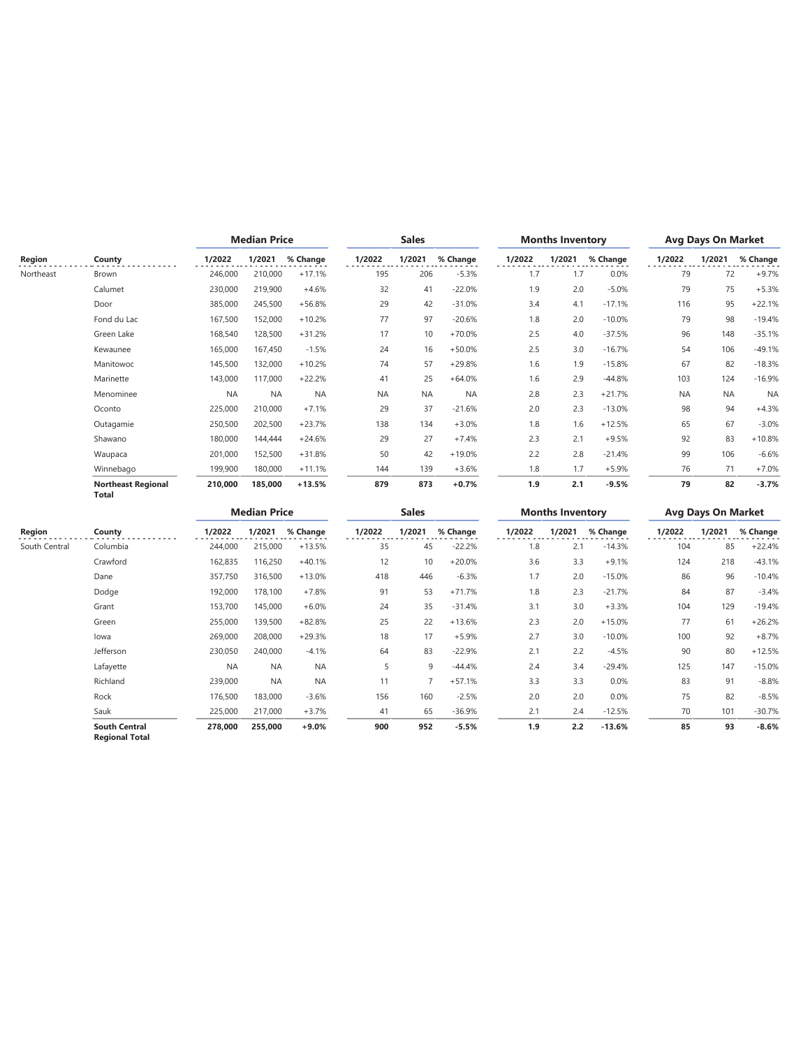|           |                                           | <b>Median Price</b> |           |           | <b>Sales</b> |           |           | <b>Months Inventory</b> |        | <b>Avg Days On Market</b> |           |           |           |
|-----------|-------------------------------------------|---------------------|-----------|-----------|--------------|-----------|-----------|-------------------------|--------|---------------------------|-----------|-----------|-----------|
| Region    | County                                    | 1/2022              | 1/2021    | % Change  | 1/2022       | 1/2021    | % Change  | 1/2022                  | 1/2021 | % Change                  | 1/2022    | 1/2021    | % Change  |
| Northeast | Brown                                     | 246,000             | 210,000   | $+17.1%$  | 195          | 206       | $-5.3%$   | 1.7                     | 1.7    | 0.0%                      | 79        | 72        | $+9.7%$   |
|           | Calumet                                   | 230,000             | 219,900   | $+4.6%$   | 32           | 41        | $-22.0%$  | 1.9                     | 2.0    | $-5.0%$                   | 79        | 75        | $+5.3%$   |
|           | Door                                      | 385,000             | 245,500   | $+56.8%$  | 29           | 42        | $-31.0%$  | 3.4                     | 4.1    | $-17.1%$                  | 116       | 95        | $+22.1%$  |
|           | Fond du Lac                               | 167,500             | 152,000   | $+10.2%$  | 77           | 97        | $-20.6%$  | 1.8                     | 2.0    | $-10.0%$                  | 79        | 98        | $-19.4%$  |
|           | Green Lake                                | 168,540             | 128,500   | $+31.2%$  | 17           | 10        | $+70.0%$  | 2.5                     | 4.0    | $-37.5%$                  | 96        | 148       | $-35.1%$  |
|           | Kewaunee                                  | 165,000             | 167,450   | $-1.5%$   | 24           | 16        | $+50.0%$  | 2.5                     | 3.0    | $-16.7%$                  | 54        | 106       | $-49.1%$  |
|           | Manitowoc                                 | 145,500             | 132,000   | $+10.2%$  | 74           | 57        | $+29.8%$  | 1.6                     | 1.9    | $-15.8%$                  | 67        | 82        | $-18.3%$  |
|           | Marinette                                 | 143,000             | 117,000   | $+22.2%$  | 41           | 25        | $+64.0%$  | 1.6                     | 2.9    | $-44.8%$                  | 103       | 124       | $-16.9%$  |
|           | Menominee                                 | <b>NA</b>           | <b>NA</b> | <b>NA</b> | <b>NA</b>    | <b>NA</b> | <b>NA</b> | 2.8                     | 2.3    | $+21.7%$                  | <b>NA</b> | <b>NA</b> | <b>NA</b> |
|           | Oconto                                    | 225,000             | 210,000   | $+7.1%$   | 29           | 37        | $-21.6%$  | 2.0                     | 2.3    | $-13.0%$                  | 98        | 94        | $+4.3%$   |
|           | Outagamie                                 | 250,500             | 202,500   | $+23.7%$  | 138          | 134       | $+3.0%$   | 1.8                     | 1.6    | $+12.5%$                  | 65        | 67        | $-3.0%$   |
|           | Shawano                                   | 180,000             | 144,444   | $+24.6%$  | 29           | 27        | $+7.4%$   | 2.3                     | 2.1    | $+9.5%$                   | 92        | 83        | $+10.8%$  |
|           | Waupaca                                   | 201,000             | 152,500   | $+31.8%$  | 50           | 42        | $+19.0%$  | 2.2                     | 2.8    | $-21.4%$                  | 99        | 106       | $-6.6%$   |
|           | Winnebago                                 | 199,900             | 180,000   | $+11.1%$  | 144          | 139       | $+3.6%$   | 1.8                     | 1.7    | $+5.9%$                   | 76        | 71        | $+7.0%$   |
|           | <b>Northeast Regional</b><br><b>Total</b> | 210,000             | 185,000   | $+13.5%$  | 879          | 873       | $+0.7%$   | 1.9                     | 2.1    | $-9.5%$                   | 79        | 82        | $-3.7%$   |

|               |                                               |           | <b>Median Price</b> |           |        | <b>Sales</b>   |          |        | <b>Months Inventory</b> |          |        | <b>Avg Days On Market</b> |          |  |
|---------------|-----------------------------------------------|-----------|---------------------|-----------|--------|----------------|----------|--------|-------------------------|----------|--------|---------------------------|----------|--|
| Region        | County                                        | 1/2022    | 1/2021              | % Change  | 1/2022 | 1/2021         | % Change | 1/2022 | 1/2021                  | % Change | 1/2022 | 1/2021                    | % Change |  |
| South Central | Columbia                                      | 244,000   | 215,000             | $+13.5%$  | 35     | 45             | $-22.2%$ | 1.8    | 2.1                     | $-14.3%$ | 104    | 85                        | $+22.4%$ |  |
|               | Crawford                                      | 162,835   | 116,250             | $+40.1%$  | 12     | 10             | $+20.0%$ | 3.6    | 3.3                     | $+9.1%$  | 124    | 218                       | $-43.1%$ |  |
|               | Dane                                          | 357,750   | 316,500             | $+13.0%$  | 418    | 446            | $-6.3%$  | 1.7    | 2.0                     | $-15.0%$ | 86     | 96                        | $-10.4%$ |  |
|               | Dodge                                         | 192,000   | 178,100             | $+7.8%$   | 91     | 53             | $+71.7%$ | 1.8    | 2.3                     | $-21.7%$ | 84     | 87                        | $-3.4%$  |  |
|               | Grant                                         | 153,700   | 145,000             | $+6.0%$   | 24     | 35             | $-31.4%$ | 3.1    | 3.0                     | $+3.3%$  | 104    | 129                       | $-19.4%$ |  |
|               | Green                                         | 255,000   | 139,500             | $+82.8%$  | 25     | 22             | $+13.6%$ | 2.3    | 2.0                     | $+15.0%$ | 77     | 61                        | $+26.2%$ |  |
|               | lowa                                          | 269,000   | 208,000             | $+29.3%$  | 18     | 17             | $+5.9%$  | 2.7    | 3.0                     | $-10.0%$ | 100    | 92                        | $+8.7%$  |  |
|               | Jefferson                                     | 230,050   | 240,000             | $-4.1%$   | 64     | 83             | $-22.9%$ | 2.1    | 2.2                     | $-4.5%$  | 90     | 80                        | $+12.5%$ |  |
|               | Lafayette                                     | <b>NA</b> | <b>NA</b>           | <b>NA</b> | 5      | 9              | $-44.4%$ | 2.4    | 3.4                     | $-29.4%$ | 125    | 147                       | $-15.0%$ |  |
|               | Richland                                      | 239,000   | <b>NA</b>           | <b>NA</b> | 11     | $\overline{7}$ | $+57.1%$ | 3.3    | 3.3                     | 0.0%     | 83     | 91                        | $-8.8%$  |  |
|               | Rock                                          | 176,500   | 183,000             | $-3.6%$   | 156    | 160            | $-2.5%$  | 2.0    | 2.0                     | 0.0%     | 75     | 82                        | $-8.5%$  |  |
|               | Sauk                                          | 225,000   | 217,000             | $+3.7%$   | 41     | 65             | $-36.9%$ | 2.1    | 2.4                     | $-12.5%$ | 70     | 101                       | $-30.7%$ |  |
|               | <b>South Central</b><br><b>Regional Total</b> | 278,000   | 255,000             | $+9.0%$   | 900    | 952            | $-5.5%$  | 1.9    | 2.2                     | $-13.6%$ | 85     | 93                        | $-8.6%$  |  |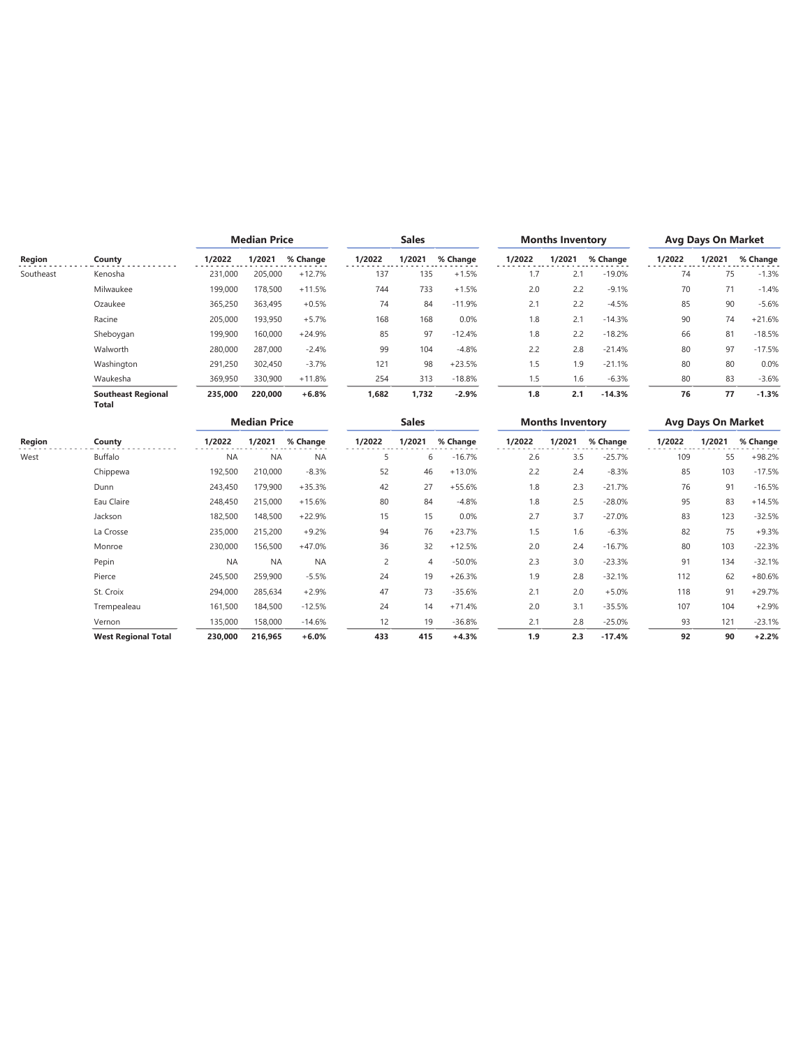|           |                                           | <b>Median Price</b> |                     |           | <b>Sales</b>   |                |          |        | <b>Months Inventory</b> |          | <b>Avg Days On Market</b> |                           |          |
|-----------|-------------------------------------------|---------------------|---------------------|-----------|----------------|----------------|----------|--------|-------------------------|----------|---------------------------|---------------------------|----------|
| Region    | County                                    | 1/2022              | 1/2021              | % Change  | 1/2022         | 1/2021         | % Change | 1/2022 | 1/2021                  | % Change | 1/2022                    | 1/2021                    | % Change |
| Southeast | Kenosha                                   | 231,000             | 205,000             | $+12.7%$  | 137            | 135            | $+1.5%$  | 1.7    | 2.1                     | $-19.0%$ | 74                        | 75                        | $-1.3%$  |
|           | Milwaukee                                 | 199,000             | 178,500             | $+11.5%$  | 744            | 733            | $+1.5%$  | 2.0    | 2.2                     | $-9.1%$  | 70                        | 71                        | $-1.4%$  |
|           | Ozaukee                                   | 365,250             | 363,495             | $+0.5%$   | 74             | 84             | $-11.9%$ | 2.1    | 2.2                     | $-4.5%$  | 85                        | 90                        | $-5.6%$  |
|           | Racine                                    | 205,000             | 193,950             | $+5.7%$   | 168            | 168            | 0.0%     | 1.8    | 2.1                     | $-14.3%$ | 90                        | 74                        | $+21.6%$ |
|           | Sheboygan                                 | 199,900             | 160,000             | $+24.9%$  | 85             | 97             | $-12.4%$ | 1.8    | 2.2                     | $-18.2%$ | 66                        | 81                        | $-18.5%$ |
|           | Walworth                                  | 280,000             | 287,000             | $-2.4%$   | 99             | 104            | $-4.8%$  | 2.2    | 2.8                     | $-21.4%$ | 80                        | 97                        | $-17.5%$ |
|           | Washington                                | 291,250             | 302,450             | $-3.7%$   | 121            | 98             | $+23.5%$ | 1.5    | 1.9                     | $-21.1%$ | 80                        | 80                        | 0.0%     |
|           | Waukesha                                  | 369,950             | 330,900             | $+11.8%$  | 254            | 313            | $-18.8%$ | 1.5    | 1.6                     | $-6.3%$  | 80                        | 83                        | $-3.6%$  |
|           | <b>Southeast Regional</b><br><b>Total</b> | 235,000             | 220,000             | $+6.8%$   | 1,682          | 1,732          | $-2.9%$  | 1.8    | 2.1                     | $-14.3%$ | 76                        | 77                        | $-1.3%$  |
|           |                                           |                     | <b>Median Price</b> |           |                | <b>Sales</b>   |          |        | <b>Months Inventory</b> |          |                           | <b>Avg Days On Market</b> |          |
| Region    | County                                    | 1/2022              | 1/2021              | % Change  | 1/2022         | 1/2021         | % Change | 1/2022 | 1/2021                  | % Change | 1/2022                    | 1/2021                    | % Change |
| West      | Buffalo                                   | <b>NA</b>           | <b>NA</b>           | <b>NA</b> | 5              | 6              | $-16.7%$ | 2.6    | 3.5                     | $-25.7%$ | 109                       | 55                        | $+98.2%$ |
|           | Chippewa                                  | 192,500             | 210,000             | $-8.3%$   | 52             | 46             | $+13.0%$ | 2.2    | 2.4                     | $-8.3%$  | 85                        | 103                       | $-17.5%$ |
|           | Dunn                                      | 243,450             | 179,900             | $+35.3%$  | 42             | 27             | $+55.6%$ | 1.8    | 2.3                     | $-21.7%$ | 76                        | 91                        | $-16.5%$ |
|           | Eau Claire                                | 248,450             | 215,000             | $+15.6%$  | 80             | 84             | $-4.8%$  | 1.8    | 2.5                     | $-28.0%$ | 95                        | 83                        | $+14.5%$ |
|           | Jackson                                   | 182,500             | 148,500             | $+22.9%$  | 15             | 15             | 0.0%     | 2.7    | 3.7                     | $-27.0%$ | 83                        | 123                       | $-32.5%$ |
|           | La Crosse                                 | 235,000             | 215,200             | $+9.2%$   | 94             | 76             | $+23.7%$ | 1.5    | 1.6                     | $-6.3%$  | 82                        | 75                        | $+9.3%$  |
|           | Monroe                                    | 230,000             | 156,500             | $+47.0%$  | 36             | 32             | $+12.5%$ | 2.0    | 2.4                     | $-16.7%$ | 80                        | 103                       | $-22.3%$ |
|           | Pepin                                     | <b>NA</b>           | <b>NA</b>           | <b>NA</b> | $\overline{c}$ | $\overline{4}$ | $-50.0%$ | 2.3    | 3.0                     | $-23.3%$ | 91                        | 134                       | $-32.1%$ |
|           | Pierce                                    | 245,500             | 259,900             | $-5.5%$   | 24             | 19             | $+26.3%$ | 1.9    | 2.8                     | $-32.1%$ | 112                       | 62                        | $+80.6%$ |
|           | St. Croix                                 | 294.000             | 285.634             | $+2.9%$   | 47             | 73             | $-35.6%$ | 2.1    | 2.0                     | $+5.0%$  | 118                       | 91                        | $+29.7%$ |

Trempealeau 161,500 184,500 -12.5% 24 14 +71.4% 2.0 3.1 -35.5% 107 104 +2.9% Vernon 135,000 158,000 -14.6% 12 19 -36.8% 2.1 2.8 -25.0% 93 121 -23.1% **West Regional Total 230,000 216,965 +6.0% 433 415 +4.3% 1.9 2.3 -17.4% 92 90 +2.2%**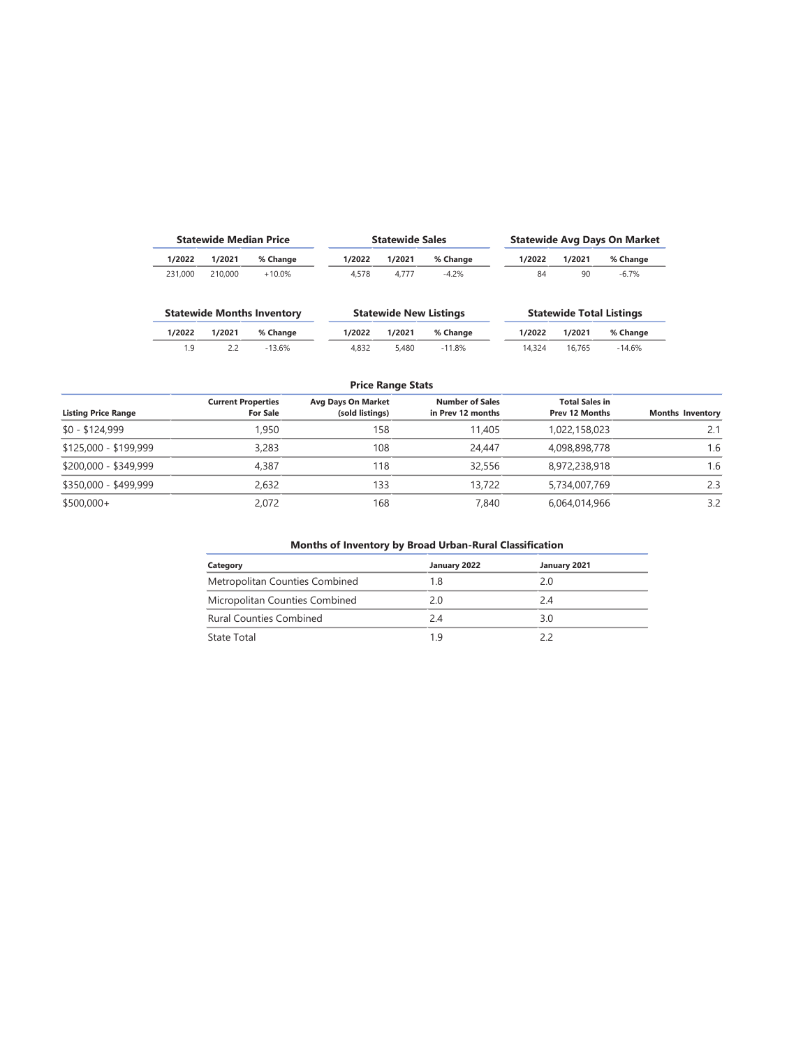|         | <b>Statewide Median Price</b> |                                   |        | <b>Statewide Sales</b>        |          | <b>Statewide Avg Days On Market</b> |                                 |          |  |  |
|---------|-------------------------------|-----------------------------------|--------|-------------------------------|----------|-------------------------------------|---------------------------------|----------|--|--|
| 1/2022  | 1/2021                        | % Change                          | 1/2022 | 1/2021                        | % Change | 1/2022                              | 1/2021                          | % Change |  |  |
| 231.000 | 210,000                       | $+10.0%$                          | 4.578  | 4.777                         | $-4.2%$  | 84                                  | 90                              | $-6.7\%$ |  |  |
|         |                               | <b>Statewide Months Inventory</b> |        | <b>Statewide New Listings</b> |          |                                     | <b>Statewide Total Listings</b> |          |  |  |
| 1/2022  | 1/2021                        | % Change                          | 1/2022 | 1/2021                        | % Change | 1/2022                              | 1/2021                          | % Change |  |  |
| 1.9     | 2.2                           | $-13.6%$                          | 4.832  | 5.480                         | $-11.8%$ | 14.324                              | 16.765                          | $-14.6%$ |  |  |

#### **Price Range Stats**

| <b>Listing Price Range</b> | <b>Current Properties</b><br><b>For Sale</b> | <b>Avg Days On Market</b><br>(sold listings) | <b>Number of Sales</b><br>in Prev 12 months | <b>Total Sales in</b><br><b>Prev 12 Months</b> | <b>Months Inventory</b> |
|----------------------------|----------------------------------------------|----------------------------------------------|---------------------------------------------|------------------------------------------------|-------------------------|
| $$0 - $124,999$            | 1.950                                        | 158                                          | 11,405                                      | 1,022,158,023                                  | 2.1                     |
| \$125,000 - \$199,999      | 3,283                                        | 108                                          | 24.447                                      | 4,098,898,778                                  | 1.6                     |
| \$200,000 - \$349,999      | 4.387                                        | 118                                          | 32,556                                      | 8,972,238,918                                  | 1.6                     |
| \$350,000 - \$499,999      | 2.632                                        | 133                                          | 13,722                                      | 5,734,007,769                                  | 2.3                     |
| $$500,000+$                | 2.072                                        | 168                                          | 7.840                                       | 6,064,014,966                                  | 3.2                     |

#### **Months of Inventory by Broad Urban-Rural Classification**

| Category                       | January 2022 | January 2021 |
|--------------------------------|--------------|--------------|
| Metropolitan Counties Combined | 1.8          | 2.0          |
| Micropolitan Counties Combined | 20           | 24           |
| <b>Rural Counties Combined</b> | 24           | 3.0          |
| State Total                    | 1 9          | 22           |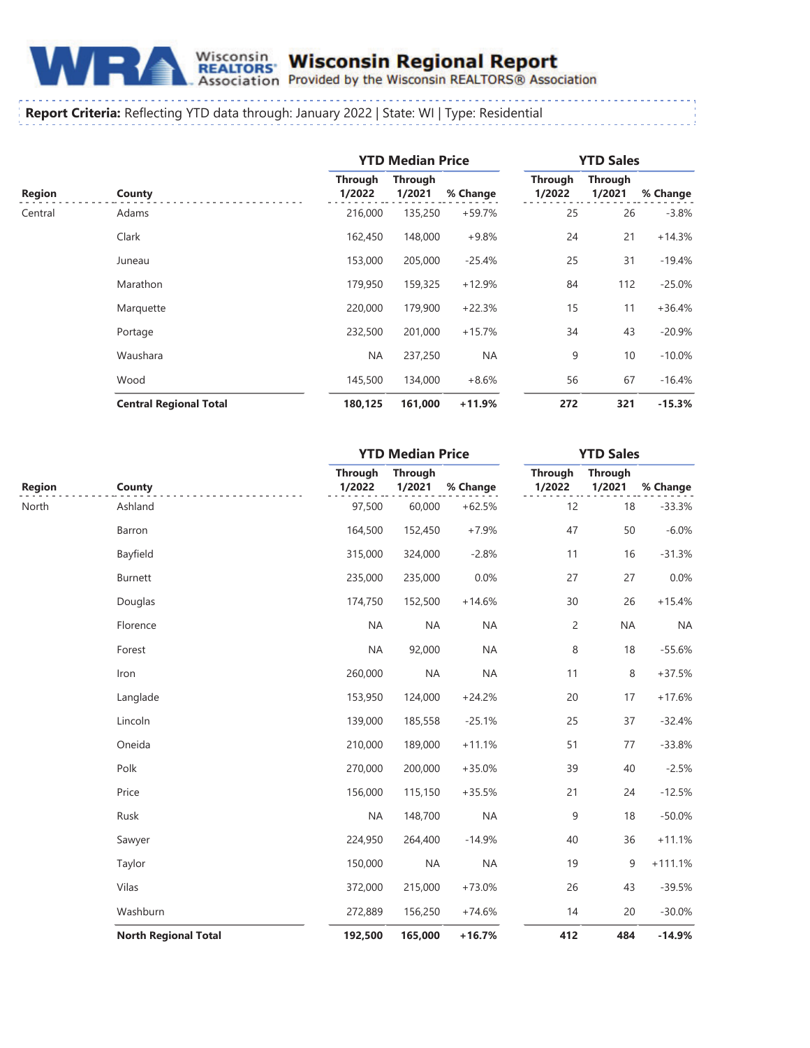

# Wisconsin Wisconsin Regional Report<br>REALTORS Provided by the Wisconsin REALTORS® Association

#### **Report Criteria:** Reflecting YTD data through: January 2022 | State: WI | Type: Residential

|               |                               |                          | <b>YTD Median Price</b>  |           | <b>YTD Sales</b>         |                          |          |  |
|---------------|-------------------------------|--------------------------|--------------------------|-----------|--------------------------|--------------------------|----------|--|
| <b>Region</b> | County                        | <b>Through</b><br>1/2022 | <b>Through</b><br>1/2021 | % Change  | <b>Through</b><br>1/2022 | <b>Through</b><br>1/2021 | % Change |  |
| Central       | Adams                         | 216,000                  | 135,250                  | $+59.7%$  | 25                       | 26                       | $-3.8%$  |  |
|               | Clark                         | 162,450                  | 148,000                  | $+9.8%$   | 24                       | 21                       | $+14.3%$ |  |
|               | Juneau                        | 153,000                  | 205,000                  | $-25.4%$  | 25                       | 31                       | $-19.4%$ |  |
|               | Marathon                      | 179,950                  | 159,325                  | $+12.9%$  | 84                       | 112                      | $-25.0%$ |  |
|               | Marquette                     | 220,000                  | 179,900                  | $+22.3%$  | 15                       | 11                       | $+36.4%$ |  |
|               | Portage                       | 232,500                  | 201,000                  | $+15.7%$  | 34                       | 43                       | $-20.9%$ |  |
|               | Waushara                      | <b>NA</b>                | 237,250                  | <b>NA</b> | 9                        | 10                       | $-10.0%$ |  |
|               | Wood                          | 145,500                  | 134,000                  | $+8.6%$   | 56                       | 67                       | $-16.4%$ |  |
|               | <b>Central Regional Total</b> | 180,125                  | 161,000                  | $+11.9%$  | 272                      | 321                      | $-15.3%$ |  |

|               |                             |                          | <b>YTD Median Price</b>  |           |                          | <b>YTD Sales</b>         |           |  |
|---------------|-----------------------------|--------------------------|--------------------------|-----------|--------------------------|--------------------------|-----------|--|
| <b>Region</b> | County                      | <b>Through</b><br>1/2022 | <b>Through</b><br>1/2021 | % Change  | <b>Through</b><br>1/2022 | <b>Through</b><br>1/2021 | % Change  |  |
| North         | Ashland                     | 97,500                   | 60,000                   | $+62.5%$  | 12                       | 18                       | $-33.3%$  |  |
|               | Barron                      | 164,500                  | 152,450                  | $+7.9%$   | 47                       | 50                       | $-6.0%$   |  |
|               | Bayfield                    | 315,000                  | 324,000                  | $-2.8%$   | 11                       | 16                       | $-31.3%$  |  |
|               | <b>Burnett</b>              | 235,000                  | 235,000                  | 0.0%      | 27                       | 27                       | 0.0%      |  |
|               | Douglas                     | 174,750                  | 152,500                  | $+14.6%$  | 30                       | 26                       | $+15.4%$  |  |
|               | Florence                    | <b>NA</b>                | <b>NA</b>                | <b>NA</b> | $\overline{c}$           | <b>NA</b>                | <b>NA</b> |  |
|               | Forest                      | <b>NA</b>                | 92,000                   | <b>NA</b> | 8                        | 18                       | $-55.6%$  |  |
|               | Iron                        | 260,000                  | <b>NA</b>                | <b>NA</b> | 11                       | 8                        | $+37.5%$  |  |
|               | Langlade                    | 153,950                  | 124,000                  | $+24.2%$  | 20                       | 17                       | $+17.6%$  |  |
|               | Lincoln                     | 139,000                  | 185,558                  | $-25.1%$  | 25                       | 37                       | $-32.4%$  |  |
|               | Oneida                      | 210,000                  | 189,000                  | $+11.1%$  | 51                       | 77                       | $-33.8%$  |  |
|               | Polk                        | 270,000                  | 200,000                  | $+35.0%$  | 39                       | 40                       | $-2.5%$   |  |
|               | Price                       | 156,000                  | 115,150                  | $+35.5%$  | 21                       | 24                       | $-12.5%$  |  |
|               | Rusk                        | <b>NA</b>                | 148,700                  | <b>NA</b> | 9                        | 18                       | $-50.0%$  |  |
|               | Sawyer                      | 224,950                  | 264,400                  | $-14.9%$  | 40                       | 36                       | $+11.1%$  |  |
|               | Taylor                      | 150,000                  | <b>NA</b>                | <b>NA</b> | 19                       | 9                        | $+111.1%$ |  |
|               | Vilas                       | 372,000                  | 215,000                  | $+73.0%$  | 26                       | 43                       | $-39.5%$  |  |
|               | Washburn                    | 272,889                  | 156,250                  | $+74.6%$  | 14                       | 20                       | $-30.0%$  |  |
|               | <b>North Regional Total</b> | 192,500                  | 165,000                  | $+16.7%$  | 412                      | 484                      | $-14.9%$  |  |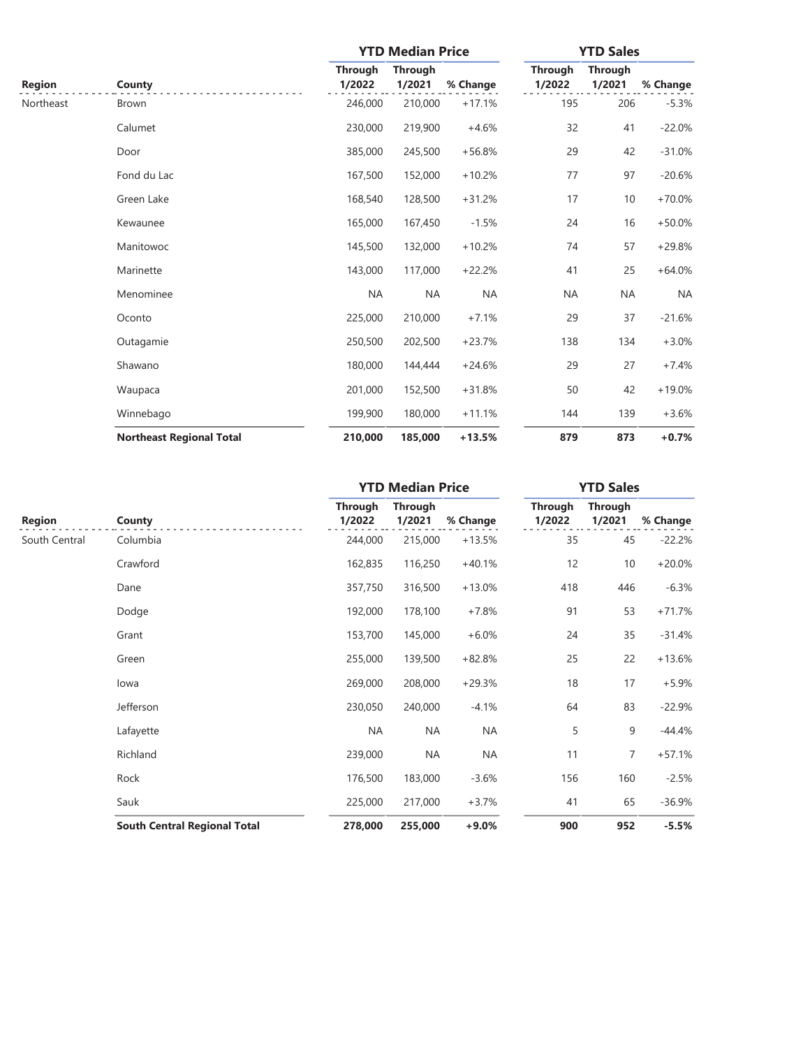|               | County                          | <b>YTD Median Price</b>  |                          |           | <b>YTD Sales</b>         |                          |           |
|---------------|---------------------------------|--------------------------|--------------------------|-----------|--------------------------|--------------------------|-----------|
| <b>Region</b> |                                 | <b>Through</b><br>1/2022 | <b>Through</b><br>1/2021 | % Change  | <b>Through</b><br>1/2022 | <b>Through</b><br>1/2021 | % Change  |
| Northeast     | <b>Brown</b>                    | 246,000                  | 210,000                  | $+17.1%$  | 195                      | 206                      | $-5.3%$   |
|               | Calumet                         | 230,000                  | 219,900                  | $+4.6%$   | 32                       | 41                       | $-22.0%$  |
|               | Door                            | 385,000                  | 245,500                  | $+56.8%$  | 29                       | 42                       | $-31.0%$  |
|               | Fond du Lac                     | 167,500                  | 152,000                  | $+10.2%$  | 77                       | 97                       | $-20.6%$  |
|               | Green Lake                      | 168,540                  | 128,500                  | $+31.2%$  | 17                       | 10                       | $+70.0%$  |
|               | Kewaunee                        | 165,000                  | 167,450                  | $-1.5%$   | 24                       | 16                       | $+50.0\%$ |
|               | Manitowoc                       | 145,500                  | 132,000                  | $+10.2%$  | 74                       | 57                       | $+29.8%$  |
|               | Marinette                       | 143,000                  | 117,000                  | $+22.2%$  | 41                       | 25                       | $+64.0%$  |
|               | Menominee                       | <b>NA</b>                | <b>NA</b>                | <b>NA</b> | <b>NA</b>                | <b>NA</b>                | <b>NA</b> |
|               | Oconto                          | 225,000                  | 210,000                  | $+7.1%$   | 29                       | 37                       | $-21.6%$  |
|               | Outagamie                       | 250,500                  | 202,500                  | $+23.7%$  | 138                      | 134                      | $+3.0%$   |
|               | Shawano                         | 180,000                  | 144,444                  | $+24.6%$  | 29                       | 27                       | $+7.4%$   |
|               | Waupaca                         | 201,000                  | 152,500                  | $+31.8%$  | 50                       | 42                       | $+19.0%$  |
|               | Winnebago                       | 199,900                  | 180,000                  | $+11.1%$  | 144                      | 139                      | $+3.6%$   |
|               | <b>Northeast Regional Total</b> | 210,000                  | 185,000                  | $+13.5%$  | 879                      | 873                      | $+0.7%$   |

|               |                                     | <b>YTD Median Price</b>  |                          |           | <b>YTD Sales</b>         |                          |          |
|---------------|-------------------------------------|--------------------------|--------------------------|-----------|--------------------------|--------------------------|----------|
| <b>Region</b> | County                              | <b>Through</b><br>1/2022 | <b>Through</b><br>1/2021 | % Change  | <b>Through</b><br>1/2022 | <b>Through</b><br>1/2021 | % Change |
| South Central | Columbia                            | 244,000                  | 215,000                  | $+13.5%$  | 35                       | 45                       | $-22.2%$ |
|               | Crawford                            | 162,835                  | 116,250                  | $+40.1%$  | 12                       | 10                       | $+20.0%$ |
|               | Dane                                | 357,750                  | 316,500                  | $+13.0%$  | 418                      | 446                      | $-6.3%$  |
|               | Dodge                               | 192,000                  | 178,100                  | $+7.8%$   | 91                       | 53                       | $+71.7%$ |
|               | Grant                               | 153,700                  | 145,000                  | $+6.0%$   | 24                       | 35                       | $-31.4%$ |
|               | Green                               | 255,000                  | 139,500                  | $+82.8%$  | 25                       | 22                       | $+13.6%$ |
|               | lowa                                | 269,000                  | 208,000                  | $+29.3%$  | 18                       | 17                       | $+5.9%$  |
|               | Jefferson                           | 230,050                  | 240,000                  | $-4.1%$   | 64                       | 83                       | $-22.9%$ |
|               | Lafayette                           | <b>NA</b>                | <b>NA</b>                | <b>NA</b> | 5                        | 9                        | $-44.4%$ |
|               | Richland                            | 239,000                  | <b>NA</b>                | <b>NA</b> | 11                       | $\overline{7}$           | $+57.1%$ |
|               | Rock                                | 176,500                  | 183,000                  | $-3.6%$   | 156                      | 160                      | $-2.5%$  |
|               | Sauk                                | 225,000                  | 217,000                  | $+3.7%$   | 41                       | 65                       | $-36.9%$ |
|               | <b>South Central Regional Total</b> | 278,000                  | 255,000                  | $+9.0%$   | 900                      | 952                      | $-5.5%$  |